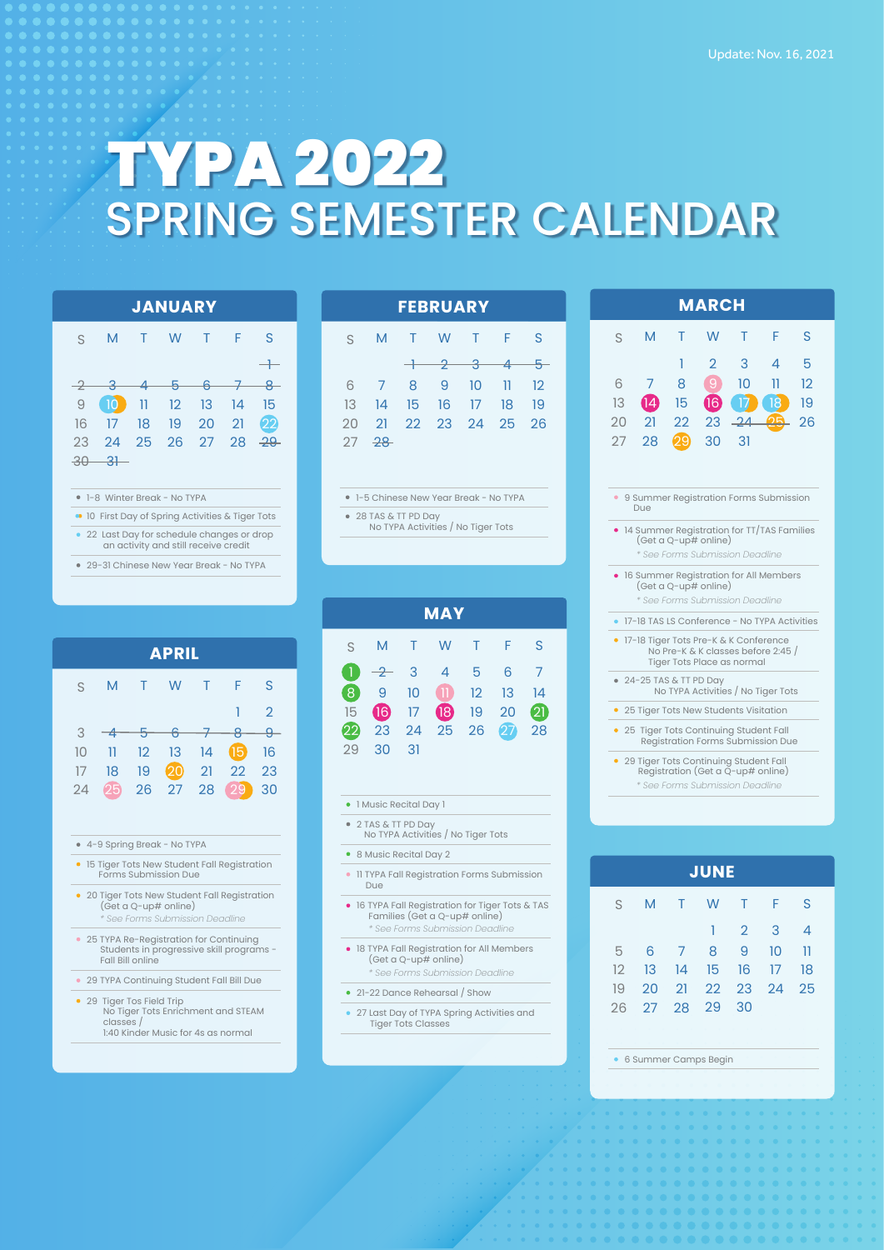# TYPA 2022 SPRING SEMESTER CALENDAR

10 17 24

1 2 3 4

9 16 23

1-5 Chinese New Year Break - No TYPA

No TYPA Activities / No Tiger Tots

8

M T

14 7

21 28

28 TAS & TT PD Day

15 22

13 6

S

20 27

W

**FEBRUARY**

11 18 25

12 19 26

14  $\Omega$ 28

S

5

S

F

T

### **JANUARY**

| S M T W T F S                      |  |  |     |
|------------------------------------|--|--|-----|
|                                    |  |  | $-$ |
| $-2$ $-3$ $-4$ $-5$ $-6$ $-7$ $-8$ |  |  |     |
| 9 10 11 12 13 14 15                |  |  |     |
| 16 17 18 19 20 21 22               |  |  |     |
| 23 24 25 26 27 28 <del>29</del>    |  |  |     |
| $-30 - 31 -$                       |  |  |     |
|                                    |  |  |     |

#### 1-8 Winter Break - No TYPA

**10 First Day of Spring Activities & Tiger Tots** 

22 Last Day for schedule changes or drop

29-31 Chinese New Year Break - No TYPA an activity and still receive credit

• 15 Tiger Tots New Student Fall Registration Forms Submission Due

• 20 Tiger Tots New Student Fall Registration

*\* See Forms Submission Deadline*

25 TYPA Re-Registration for Continuing Students in progressive skill programs -

No Tiger Tots Enrichment and STEAM

1:40 Kinder Music for 4s as normal

29 TYPA Continuing Student Fall Bill Due

4-9 Spring Break - No TYPA

(Get a Q-up# online)

Fall Bill online

• 29 Tiger Tos Field Trip

classes /

M T

11  $-4$ 

> 18 25

10 3

S

17 24 W

**APRIL**

8 1

 $\overline{2}$ 

S

F

15 22

T

|  |                   |               |    | <b>MAY</b>     |              |     |                           |
|--|-------------------|---------------|----|----------------|--------------|-----|---------------------------|
|  | S                 | M             | T. | W              | $\mathbf{T}$ | - F | S                         |
|  | $\blacklozenge$   | $\rightarrow$ | 3  | 4              | 5            | 6   | 7                         |
|  | $\left( 8\right)$ | 9             | 10 | $\blacksquare$ | 12           | 13  | $\mathsf{I}^{\mathsf{Z}}$ |
|  | 15                | 16            | 17 | $\bigcirc$     | 19           | 20  | $\overline{c}$            |
|  | 22                | 23            | 24 | 25             | 26           | 27  | 28                        |

1 Music Recital Day 1

31

30

29

2 TAS & TT PD Day No TYPA Activities / No Tiger Tots

8 Music Recital Day 2

**• 11 TYPA Fall Registration Forms Submission** Due

16 TYPA Fall Registration for Tiger Tots & TAS Families (Get a Q-up# online) *\* See Forms Submission Deadline*

- 18 TYPA Fall Registration for All Members (Get a Q-up# online) *\* See Forms Submission Deadline*
- 21-22 Dance Rehearsal / Show
- 27 Last Day of TYPA Spring Activities and Tiger Tots Classes

|                                                                                                                                                                                                              |                                               |    | <b>MARCH</b>      |    |    |    |  |  |
|--------------------------------------------------------------------------------------------------------------------------------------------------------------------------------------------------------------|-----------------------------------------------|----|-------------------|----|----|----|--|--|
| S                                                                                                                                                                                                            | M                                             | т  | W                 | т  | F  | S  |  |  |
|                                                                                                                                                                                                              |                                               | 1  | 2                 | З  | Δ  | 5  |  |  |
| 6                                                                                                                                                                                                            | 7                                             | 8  | $\lvert 9 \rvert$ | 10 | 11 | 12 |  |  |
| 13                                                                                                                                                                                                           | 14                                            | 15 | 16                | 17 | 18 | 19 |  |  |
| 20                                                                                                                                                                                                           | 21                                            | 22 | 23                | 24 |    | 26 |  |  |
| 27                                                                                                                                                                                                           | 28                                            | 29 | 30                | 31 |    |    |  |  |
|                                                                                                                                                                                                              |                                               |    |                   |    |    |    |  |  |
| ۰                                                                                                                                                                                                            | 9 Summer Registration Forms Submission<br>Due |    |                   |    |    |    |  |  |
| 14 Summer Registration for TT/TAS Families<br>(Get a Q-up# online)<br>* See Forms Submission Deadline<br>• 16 Summer Registration for All Members<br>(Get a Q-up# online)<br>* See Forms Submission Deadline |                                               |    |                   |    |    |    |  |  |
| ۰                                                                                                                                                                                                            | 17-18 TAS LS Conference - No TYPA Activities  |    |                   |    |    |    |  |  |
| 17-18 Tiger Tots Pre-K & K Conference<br>٠<br>No Pre-K & K classes before 2:45<br>Tiger Tots Place as normal                                                                                                 |                                               |    |                   |    |    |    |  |  |
| • 24-25 TAS & TT PD Day<br>No TYPA Activities / No Tiger Tots                                                                                                                                                |                                               |    |                   |    |    |    |  |  |
| ۰                                                                                                                                                                                                            | 25 Tiger Tots New Students Visitation         |    |                   |    |    |    |  |  |
|                                                                                                                                                                                                              |                                               |    |                   |    |    |    |  |  |
| • 25 Tiger Tots Continuing Student Fall<br>Registration Forms Submission Due<br>• 29 Tiger Tots Continuing Student Fall<br>Registration (Get a Q-up# online)                                                 |                                               |    |                   |    |    |    |  |  |

| <b>JUNE</b> |    |    |       |    |     |    |  |  |  |
|-------------|----|----|-------|----|-----|----|--|--|--|
| S           | M  | T. | W     | T. | - F | S  |  |  |  |
|             |    |    | 1     | 2  | 3   | 4  |  |  |  |
| 5           | 6  | 7  | 8     | 9  | 10  | 11 |  |  |  |
| 12          | 13 | 14 | 15    | 16 | 17  | 18 |  |  |  |
| 19          | 20 | 21 | 22 23 |    | 24  | 25 |  |  |  |
| 26          | 27 | 28 | 29    | 30 |     |    |  |  |  |

6 Summer Camps Begin